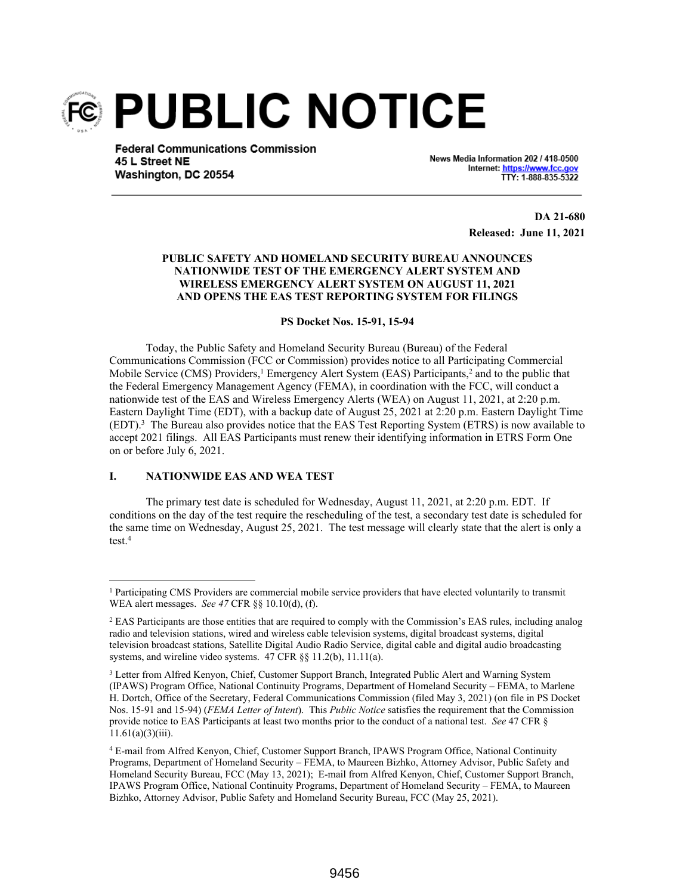

**Federal Communications Commission** 45 L Street NE Washington, DC 20554

News Media Information 202 / 418-0500 Internet: https://www.fcc.gov TTY: 1-888-835-5322

> **DA 21-680 Released: June 11, 2021**

# **PUBLIC SAFETY AND HOMELAND SECURITY BUREAU ANNOUNCES NATIONWIDE TEST OF THE EMERGENCY ALERT SYSTEM AND WIRELESS EMERGENCY ALERT SYSTEM ON AUGUST 11, 2021 AND OPENS THE EAS TEST REPORTING SYSTEM FOR FILINGS**

#### **PS Docket Nos. 15-91, 15-94**

Today, the Public Safety and Homeland Security Bureau (Bureau) of the Federal Communications Commission (FCC or Commission) provides notice to all Participating Commercial Mobile Service (CMS) Providers,<sup>1</sup> Emergency Alert System (EAS) Participants,<sup>2</sup> and to the public that the Federal Emergency Management Agency (FEMA), in coordination with the FCC, will conduct a nationwide test of the EAS and Wireless Emergency Alerts (WEA) on August 11, 2021, at 2:20 p.m. Eastern Daylight Time (EDT), with a backup date of August 25, 2021 at 2:20 p.m. Eastern Daylight Time (EDT).<sup>3</sup> The Bureau also provides notice that the EAS Test Reporting System (ETRS) is now available to accept 2021 filings. All EAS Participants must renew their identifying information in ETRS Form One on or before July 6, 2021.

### **I. NATIONWIDE EAS AND WEA TEST**

The primary test date is scheduled for Wednesday, August 11, 2021, at 2:20 p.m. EDT. If conditions on the day of the test require the rescheduling of the test, a secondary test date is scheduled for the same time on Wednesday, August 25, 2021. The test message will clearly state that the alert is only a test.<sup>4</sup>

<sup>&</sup>lt;sup>1</sup> Participating CMS Providers are commercial mobile service providers that have elected voluntarily to transmit WEA alert messages. *See 47* CFR §§ 10.10(d), (f).

<sup>&</sup>lt;sup>2</sup> EAS Participants are those entities that are required to comply with the Commission's EAS rules, including analog radio and television stations, wired and wireless cable television systems, digital broadcast systems, digital television broadcast stations, Satellite Digital Audio Radio Service, digital cable and digital audio broadcasting systems, and wireline video systems. 47 CFR §§ 11.2(b), 11.11(a).

<sup>&</sup>lt;sup>3</sup> Letter from Alfred Kenyon, Chief, Customer Support Branch, Integrated Public Alert and Warning System (IPAWS) Program Office, National Continuity Programs, Department of Homeland Security – FEMA, to Marlene H. Dortch, Office of the Secretary, Federal Communications Commission (filed May 3, 2021) (on file in PS Docket Nos. 15-91 and 15-94) (*FEMA Letter of Intent*). This *Public Notice* satisfies the requirement that the Commission provide notice to EAS Participants at least two months prior to the conduct of a national test. *See* 47 CFR §  $11.61(a)(3)(iii)$ .

<sup>4</sup> E-mail from Alfred Kenyon, Chief, Customer Support Branch, IPAWS Program Office, National Continuity Programs, Department of Homeland Security – FEMA, to Maureen Bizhko, Attorney Advisor, Public Safety and Homeland Security Bureau, FCC (May 13, 2021); E-mail from Alfred Kenyon, Chief, Customer Support Branch, IPAWS Program Office, National Continuity Programs, Department of Homeland Security – FEMA, to Maureen Bizhko, Attorney Advisor, Public Safety and Homeland Security Bureau, FCC (May 25, 2021).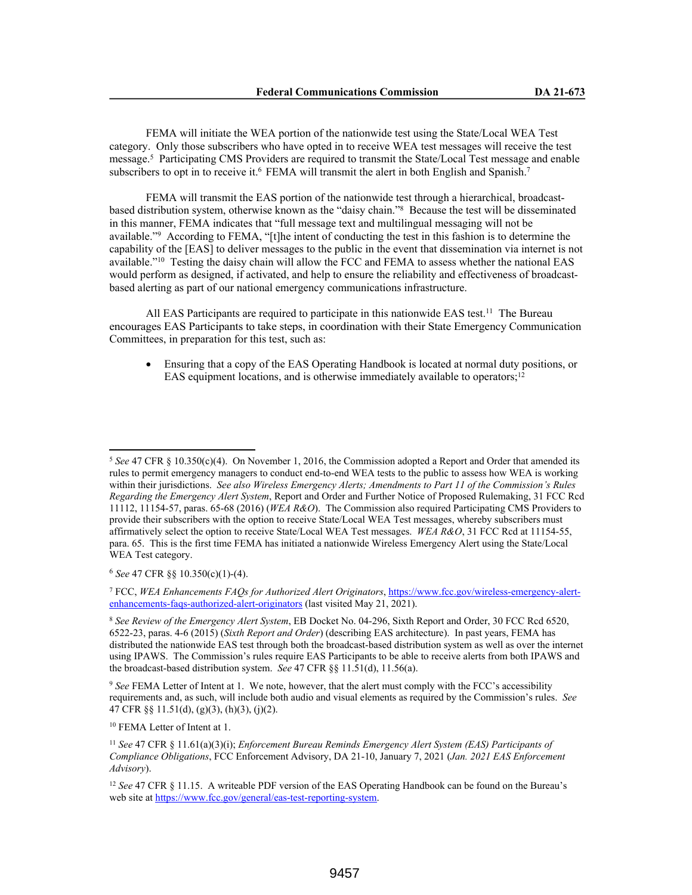FEMA will initiate the WEA portion of the nationwide test using the State/Local WEA Test category. Only those subscribers who have opted in to receive WEA test messages will receive the test message.<sup>5</sup> Participating CMS Providers are required to transmit the State/Local Test message and enable subscribers to opt in to receive it.<sup>6</sup> FEMA will transmit the alert in both English and Spanish.<sup>7</sup>

FEMA will transmit the EAS portion of the nationwide test through a hierarchical, broadcastbased distribution system, otherwise known as the "daisy chain."<sup>8</sup> Because the test will be disseminated in this manner, FEMA indicates that "full message text and multilingual messaging will not be available."<sup>9</sup> According to FEMA, "[t]he intent of conducting the test in this fashion is to determine the capability of the [EAS] to deliver messages to the public in the event that dissemination via internet is not available."<sup>10</sup> Testing the daisy chain will allow the FCC and FEMA to assess whether the national EAS would perform as designed, if activated, and help to ensure the reliability and effectiveness of broadcastbased alerting as part of our national emergency communications infrastructure.

All EAS Participants are required to participate in this nationwide EAS test.<sup>11</sup> The Bureau encourages EAS Participants to take steps, in coordination with their State Emergency Communication Committees, in preparation for this test, such as:

 Ensuring that a copy of the EAS Operating Handbook is located at normal duty positions, or EAS equipment locations, and is otherwise immediately available to operators;<sup>12</sup>

7 FCC, *WEA Enhancements FAQs for Authorized Alert Originators*, https://www.fcc.gov/wireless-emergency-alertenhancements-faqs-authorized-alert-originators (last visited May 21, 2021).

<sup>8</sup> *See Review of the Emergency Alert System*, EB Docket No. 04-296, Sixth Report and Order, 30 FCC Rcd 6520, 6522-23, paras. 4-6 (2015) (*Sixth Report and Order*) (describing EAS architecture). In past years, FEMA has distributed the nationwide EAS test through both the broadcast-based distribution system as well as over the internet using IPAWS. The Commission's rules require EAS Participants to be able to receive alerts from both IPAWS and the broadcast-based distribution system. *See* 47 CFR §§ 11.51(d), 11.56(a).

<sup>9</sup> *See* FEMA Letter of Intent at 1. We note, however, that the alert must comply with the FCC's accessibility requirements and, as such, will include both audio and visual elements as required by the Commission's rules. *See*  47 CFR §§ 11.51(d), (g)(3), (h)(3), (j)(2).

<sup>10</sup> FEMA Letter of Intent at 1.

<sup>5</sup> *See* 47 CFR § 10.350(c)(4). On November 1, 2016, the Commission adopted a Report and Order that amended its rules to permit emergency managers to conduct end-to-end WEA tests to the public to assess how WEA is working within their jurisdictions. *See also Wireless Emergency Alerts; Amendments to Part 11 of the Commission's Rules Regarding the Emergency Alert System*, Report and Order and Further Notice of Proposed Rulemaking, 31 FCC Rcd 11112, 11154-57, paras. 65-68 (2016) (*WEA R&O*). The Commission also required Participating CMS Providers to provide their subscribers with the option to receive State/Local WEA Test messages, whereby subscribers must affirmatively select the option to receive State/Local WEA Test messages. *WEA R&O*, 31 FCC Rcd at 11154-55, para. 65. This is the first time FEMA has initiated a nationwide Wireless Emergency Alert using the State/Local WEA Test category.

<sup>6</sup> *See* 47 CFR §§ 10.350(c)(1)-(4).

<sup>11</sup> *See* 47 CFR § 11.61(a)(3)(i); *Enforcement Bureau Reminds Emergency Alert System (EAS) Participants of Compliance Obligations*, FCC Enforcement Advisory, DA 21-10, January 7, 2021 (*Jan. 2021 EAS Enforcement Advisory*).

<sup>12</sup> *See* 47 CFR § 11.15. A writeable PDF version of the EAS Operating Handbook can be found on the Bureau's web site at https://www.fcc.gov/general/eas-test-reporting-system.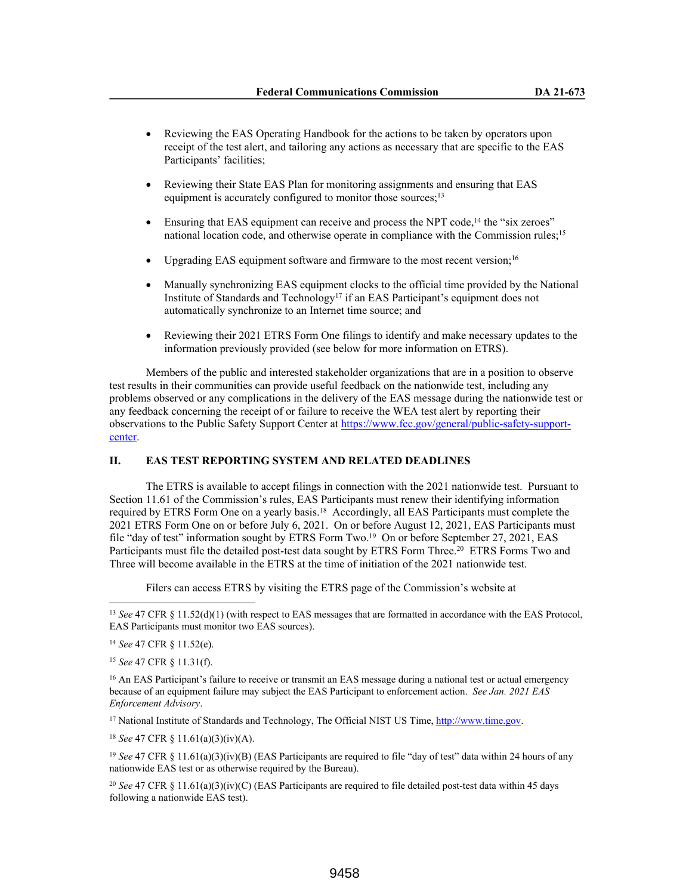- Reviewing the EAS Operating Handbook for the actions to be taken by operators upon receipt of the test alert, and tailoring any actions as necessary that are specific to the EAS Participants' facilities;
- Reviewing their State EAS Plan for monitoring assignments and ensuring that EAS equipment is accurately configured to monitor those sources;<sup>13</sup>
- Ensuring that EAS equipment can receive and process the NPT code,<sup>14</sup> the "six zeroes" national location code, and otherwise operate in compliance with the Commission rules;<sup>15</sup>
- Upgrading EAS equipment software and firmware to the most recent version;<sup>16</sup>
- Manually synchronizing EAS equipment clocks to the official time provided by the National Institute of Standards and Technology<sup>17</sup> if an EAS Participant's equipment does not automatically synchronize to an Internet time source; and
- Reviewing their 2021 ETRS Form One filings to identify and make necessary updates to the information previously provided (see below for more information on ETRS).

Members of the public and interested stakeholder organizations that are in a position to observe test results in their communities can provide useful feedback on the nationwide test, including any problems observed or any complications in the delivery of the EAS message during the nationwide test or any feedback concerning the receipt of or failure to receive the WEA test alert by reporting their observations to the Public Safety Support Center at https://www.fcc.gov/general/public-safety-supportcenter.

# **II. EAS TEST REPORTING SYSTEM AND RELATED DEADLINES**

The ETRS is available to accept filings in connection with the 2021 nationwide test. Pursuant to Section 11.61 of the Commission's rules, EAS Participants must renew their identifying information required by ETRS Form One on a yearly basis.<sup>18</sup> Accordingly, all EAS Participants must complete the 2021 ETRS Form One on or before July 6, 2021. On or before August 12, 2021, EAS Participants must file "day of test" information sought by ETRS Form Two.<sup>19</sup> On or before September 27, 2021, EAS Participants must file the detailed post-test data sought by ETRS Form Three.<sup>20</sup> ETRS Forms Two and Three will become available in the ETRS at the time of initiation of the 2021 nationwide test.

Filers can access ETRS by visiting the ETRS page of the Commission's website at

<sup>17</sup> National Institute of Standards and Technology, The Official NIST US Time, http://www.time.gov.

<sup>18</sup> *See* 47 CFR § 11.61(a)(3)(iv)(A).

<sup>19</sup> *See* 47 CFR § 11.61(a)(3)(iv)(B) (EAS Participants are required to file "day of test" data within 24 hours of any nationwide EAS test or as otherwise required by the Bureau).

<sup>20</sup> *See* 47 CFR § 11.61(a)(3)(iv)(C) (EAS Participants are required to file detailed post-test data within 45 days following a nationwide EAS test).

<sup>13</sup> *See* 47 CFR § 11.52(d)(1) (with respect to EAS messages that are formatted in accordance with the EAS Protocol, EAS Participants must monitor two EAS sources).

<sup>14</sup> *See* 47 CFR § 11.52(e).

<sup>15</sup> *See* 47 CFR § 11.31(f).

<sup>&</sup>lt;sup>16</sup> An EAS Participant's failure to receive or transmit an EAS message during a national test or actual emergency because of an equipment failure may subject the EAS Participant to enforcement action. *See Jan. 2021 EAS Enforcement Advisory*.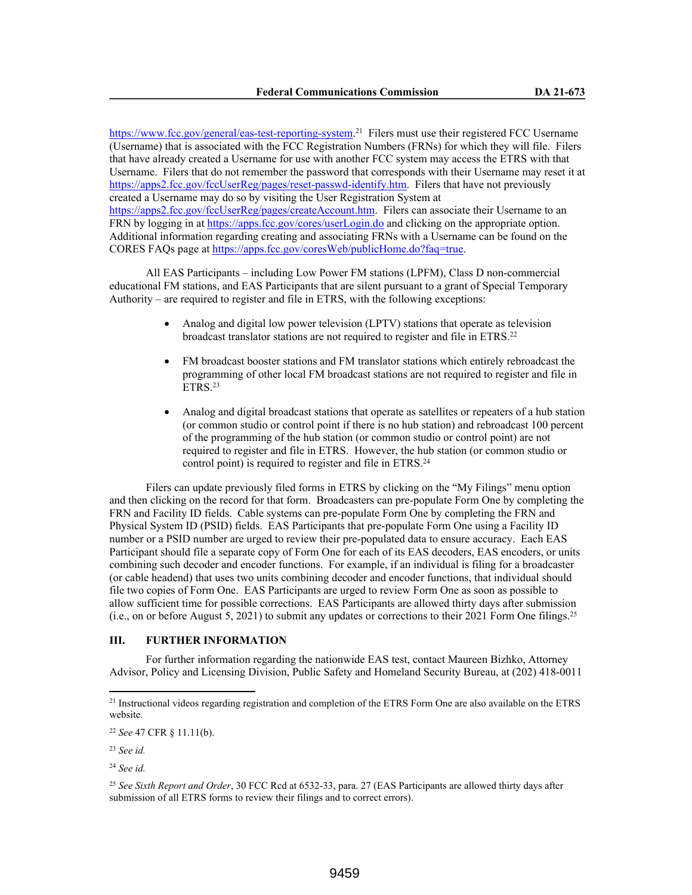https://www.fcc.gov/general/eas-test-reporting-system.<sup>21</sup> Filers must use their registered FCC Username (Username) that is associated with the FCC Registration Numbers (FRNs) for which they will file. Filers that have already created a Username for use with another FCC system may access the ETRS with that Username. Filers that do not remember the password that corresponds with their Username may reset it at https://apps2.fcc.gov/fccUserReg/pages/reset-passwd-identify.htm. Filers that have not previously created a Username may do so by visiting the User Registration System at https://apps2.fcc.gov/fccUserReg/pages/createAccount.htm. Filers can associate their Username to an FRN by logging in at https://apps.fcc.gov/cores/userLogin.do and clicking on the appropriate option. Additional information regarding creating and associating FRNs with a Username can be found on the CORES FAQs page at https://apps.fcc.gov/coresWeb/publicHome.do?faq=true.

All EAS Participants – including Low Power FM stations (LPFM), Class D non-commercial educational FM stations, and EAS Participants that are silent pursuant to a grant of Special Temporary Authority – are required to register and file in ETRS, with the following exceptions:

- Analog and digital low power television (LPTV) stations that operate as television broadcast translator stations are not required to register and file in ETRS.<sup>22</sup>
- FM broadcast booster stations and FM translator stations which entirely rebroadcast the programming of other local FM broadcast stations are not required to register and file in  $ETRS<sup>23</sup>$
- Analog and digital broadcast stations that operate as satellites or repeaters of a hub station (or common studio or control point if there is no hub station) and rebroadcast 100 percent of the programming of the hub station (or common studio or control point) are not required to register and file in ETRS. However, the hub station (or common studio or control point) is required to register and file in ETRS.<sup>24</sup>

Filers can update previously filed forms in ETRS by clicking on the "My Filings" menu option and then clicking on the record for that form. Broadcasters can pre-populate Form One by completing the FRN and Facility ID fields. Cable systems can pre-populate Form One by completing the FRN and Physical System ID (PSID) fields. EAS Participants that pre-populate Form One using a Facility ID number or a PSID number are urged to review their pre-populated data to ensure accuracy. Each EAS Participant should file a separate copy of Form One for each of its EAS decoders, EAS encoders, or units combining such decoder and encoder functions. For example, if an individual is filing for a broadcaster (or cable headend) that uses two units combining decoder and encoder functions, that individual should file two copies of Form One. EAS Participants are urged to review Form One as soon as possible to allow sufficient time for possible corrections. EAS Participants are allowed thirty days after submission (i.e., on or before August 5, 2021) to submit any updates or corrections to their 2021 Form One filings.<sup>25</sup>

# **III. FURTHER INFORMATION**

For further information regarding the nationwide EAS test, contact Maureen Bizhko, Attorney Advisor, Policy and Licensing Division, Public Safety and Homeland Security Bureau, at (202) 418-0011

<sup>21</sup> Instructional videos regarding registration and completion of the ETRS Form One are also available on the ETRS website.

<sup>22</sup> *See* 47 CFR § 11.11(b).

<sup>23</sup> *See id.*

<sup>24</sup> *See id.*

<sup>25</sup> *See Sixth Report and Order*, 30 FCC Rcd at 6532-33, para. 27 (EAS Participants are allowed thirty days after submission of all ETRS forms to review their filings and to correct errors).